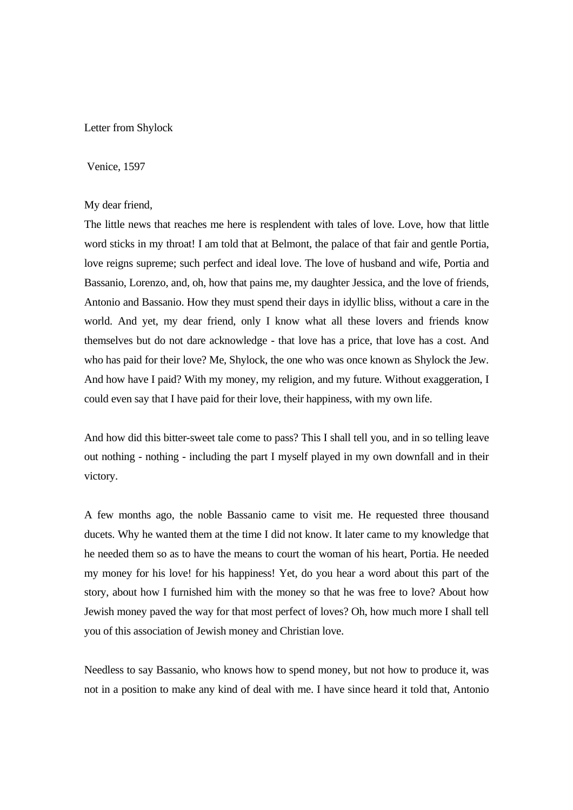## Letter from Shylock

## Venice, 1597

## My dear friend,

The little news that reaches me here is resplendent with tales of love. Love, how that little word sticks in my throat! I am told that at Belmont, the palace of that fair and gentle Portia, love reigns supreme; such perfect and ideal love. The love of husband and wife, Portia and Bassanio, Lorenzo, and, oh, how that pains me, my daughter Jessica, and the love of friends, Antonio and Bassanio. How they must spend their days in idyllic bliss, without a care in the world. And yet, my dear friend, only I know what all these lovers and friends know themselves but do not dare acknowledge - that love has a price, that love has a cost. And who has paid for their love? Me, Shylock, the one who was once known as Shylock the Jew. And how have I paid? With my money, my religion, and my future. Without exaggeration, I could even say that I have paid for their love, their happiness, with my own life.

And how did this bitter-sweet tale come to pass? This I shall tell you, and in so telling leave out nothing - nothing - including the part I myself played in my own downfall and in their victory.

A few months ago, the noble Bassanio came to visit me. He requested three thousand ducets. Why he wanted them at the time I did not know. It later came to my knowledge that he needed them so as to have the means to court the woman of his heart, Portia. He needed my money for his love! for his happiness! Yet, do you hear a word about this part of the story, about how I furnished him with the money so that he was free to love? About how Jewish money paved the way for that most perfect of loves? Oh, how much more I shall tell you of this association of Jewish money and Christian love.

Needless to say Bassanio, who knows how to spend money, but not how to produce it, was not in a position to make any kind of deal with me. I have since heard it told that, Antonio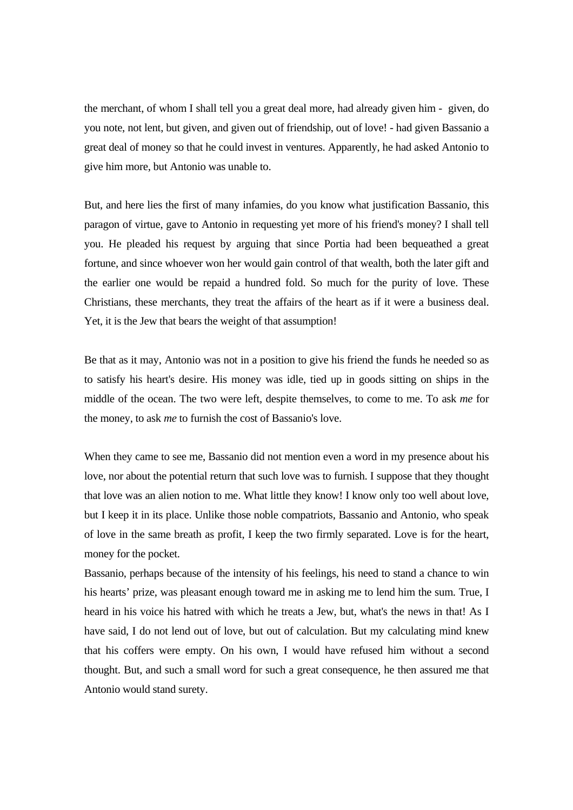the merchant, of whom I shall tell you a great deal more, had already given him - given, do you note, not lent, but given, and given out of friendship, out of love! - had given Bassanio a great deal of money so that he could invest in ventures. Apparently, he had asked Antonio to give him more, but Antonio was unable to.

But, and here lies the first of many infamies, do you know what justification Bassanio, this paragon of virtue, gave to Antonio in requesting yet more of his friend's money? I shall tell you. He pleaded his request by arguing that since Portia had been bequeathed a great fortune, and since whoever won her would gain control of that wealth, both the later gift and the earlier one would be repaid a hundred fold. So much for the purity of love. These Christians, these merchants, they treat the affairs of the heart as if it were a business deal. Yet, it is the Jew that bears the weight of that assumption!

Be that as it may, Antonio was not in a position to give his friend the funds he needed so as to satisfy his heart's desire. His money was idle, tied up in goods sitting on ships in the middle of the ocean. The two were left, despite themselves, to come to me. To ask *me* for the money, to ask *me* to furnish the cost of Bassanio's love.

When they came to see me, Bassanio did not mention even a word in my presence about his love, nor about the potential return that such love was to furnish. I suppose that they thought that love was an alien notion to me. What little they know! I know only too well about love, but I keep it in its place. Unlike those noble compatriots, Bassanio and Antonio, who speak of love in the same breath as profit, I keep the two firmly separated. Love is for the heart, money for the pocket.

Bassanio, perhaps because of the intensity of his feelings, his need to stand a chance to win his hearts' prize, was pleasant enough toward me in asking me to lend him the sum. True, I heard in his voice his hatred with which he treats a Jew, but, what's the news in that! As I have said, I do not lend out of love, but out of calculation. But my calculating mind knew that his coffers were empty. On his own, I would have refused him without a second thought. But, and such a small word for such a great consequence, he then assured me that Antonio would stand surety.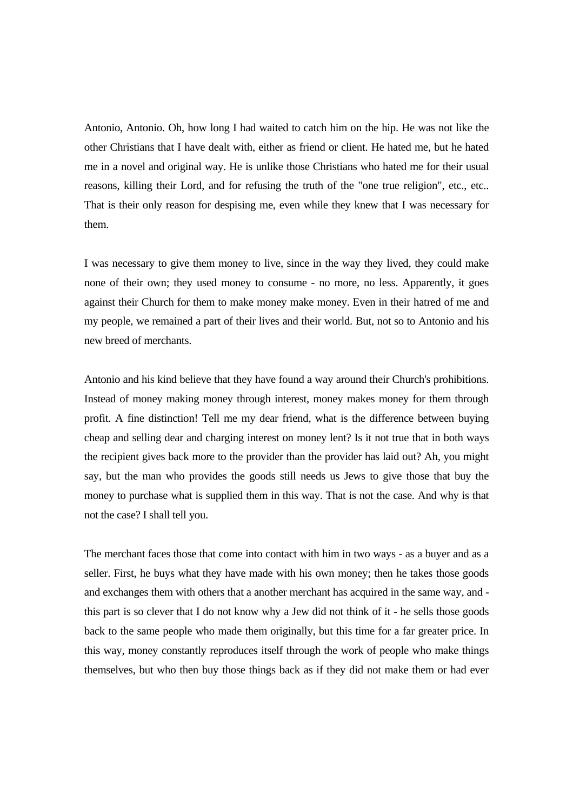Antonio, Antonio. Oh, how long I had waited to catch him on the hip. He was not like the other Christians that I have dealt with, either as friend or client. He hated me, but he hated me in a novel and original way. He is unlike those Christians who hated me for their usual reasons, killing their Lord, and for refusing the truth of the "one true religion", etc., etc.. That is their only reason for despising me, even while they knew that I was necessary for them.

I was necessary to give them money to live, since in the way they lived, they could make none of their own; they used money to consume - no more, no less. Apparently, it goes against their Church for them to make money make money. Even in their hatred of me and my people, we remained a part of their lives and their world. But, not so to Antonio and his new breed of merchants.

Antonio and his kind believe that they have found a way around their Church's prohibitions. Instead of money making money through interest, money makes money for them through profit. A fine distinction! Tell me my dear friend, what is the difference between buying cheap and selling dear and charging interest on money lent? Is it not true that in both ways the recipient gives back more to the provider than the provider has laid out? Ah, you might say, but the man who provides the goods still needs us Jews to give those that buy the money to purchase what is supplied them in this way. That is not the case. And why is that not the case? I shall tell you.

The merchant faces those that come into contact with him in two ways - as a buyer and as a seller. First, he buys what they have made with his own money; then he takes those goods and exchanges them with others that a another merchant has acquired in the same way, and this part is so clever that I do not know why a Jew did not think of it - he sells those goods back to the same people who made them originally, but this time for a far greater price. In this way, money constantly reproduces itself through the work of people who make things themselves, but who then buy those things back as if they did not make them or had ever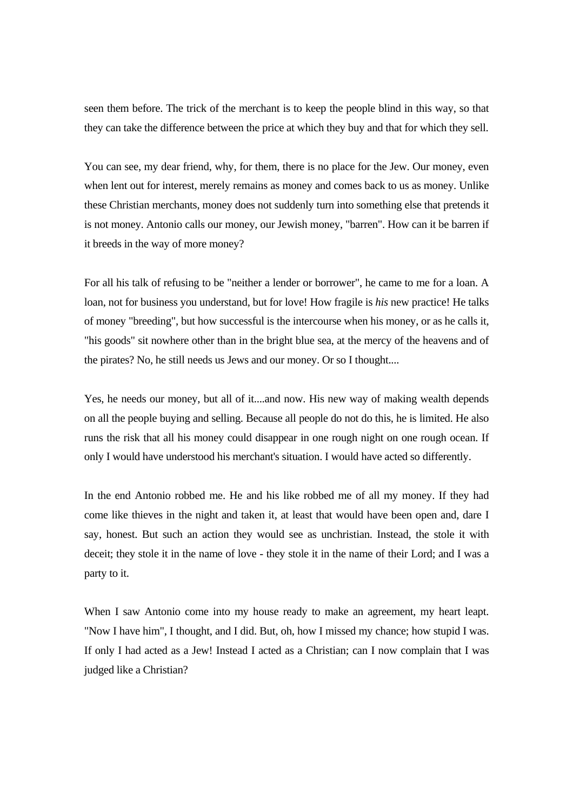seen them before. The trick of the merchant is to keep the people blind in this way, so that they can take the difference between the price at which they buy and that for which they sell.

You can see, my dear friend, why, for them, there is no place for the Jew. Our money, even when lent out for interest, merely remains as money and comes back to us as money. Unlike these Christian merchants, money does not suddenly turn into something else that pretends it is not money. Antonio calls our money, our Jewish money, "barren". How can it be barren if it breeds in the way of more money?

For all his talk of refusing to be "neither a lender or borrower", he came to me for a loan. A loan, not for business you understand, but for love! How fragile is *his* new practice! He talks of money "breeding", but how successful is the intercourse when his money, or as he calls it, "his goods" sit nowhere other than in the bright blue sea, at the mercy of the heavens and of the pirates? No, he still needs us Jews and our money. Or so I thought....

Yes, he needs our money, but all of it....and now. His new way of making wealth depends on all the people buying and selling. Because all people do not do this, he is limited. He also runs the risk that all his money could disappear in one rough night on one rough ocean. If only I would have understood his merchant's situation. I would have acted so differently.

In the end Antonio robbed me. He and his like robbed me of all my money. If they had come like thieves in the night and taken it, at least that would have been open and, dare I say, honest. But such an action they would see as unchristian. Instead, the stole it with deceit; they stole it in the name of love - they stole it in the name of their Lord; and I was a party to it.

When I saw Antonio come into my house ready to make an agreement, my heart leapt. "Now I have him", I thought, and I did. But, oh, how I missed my chance; how stupid I was. If only I had acted as a Jew! Instead I acted as a Christian; can I now complain that I was judged like a Christian?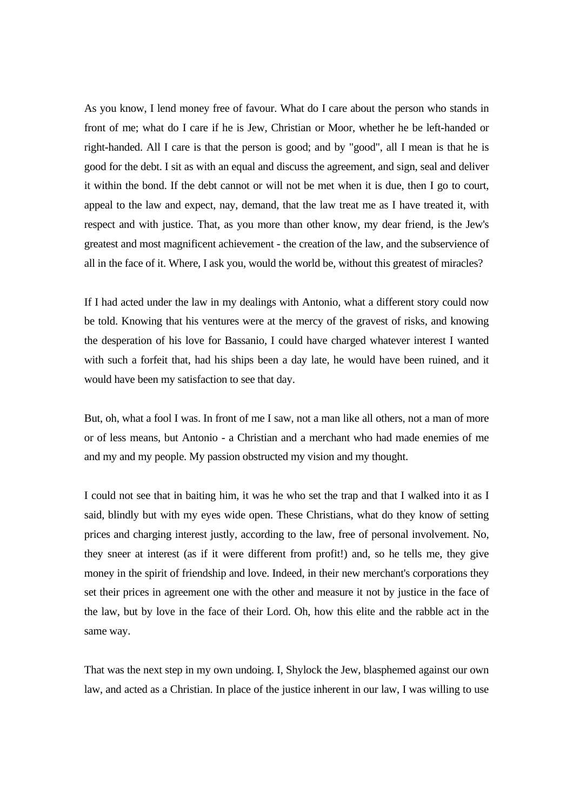As you know, I lend money free of favour. What do I care about the person who stands in front of me; what do I care if he is Jew, Christian or Moor, whether he be left-handed or right-handed. All I care is that the person is good; and by "good", all I mean is that he is good for the debt. I sit as with an equal and discuss the agreement, and sign, seal and deliver it within the bond. If the debt cannot or will not be met when it is due, then I go to court, appeal to the law and expect, nay, demand, that the law treat me as I have treated it, with respect and with justice. That, as you more than other know, my dear friend, is the Jew's greatest and most magnificent achievement - the creation of the law, and the subservience of all in the face of it. Where, I ask you, would the world be, without this greatest of miracles?

If I had acted under the law in my dealings with Antonio, what a different story could now be told. Knowing that his ventures were at the mercy of the gravest of risks, and knowing the desperation of his love for Bassanio, I could have charged whatever interest I wanted with such a forfeit that, had his ships been a day late, he would have been ruined, and it would have been my satisfaction to see that day.

But, oh, what a fool I was. In front of me I saw, not a man like all others, not a man of more or of less means, but Antonio - a Christian and a merchant who had made enemies of me and my and my people. My passion obstructed my vision and my thought.

I could not see that in baiting him, it was he who set the trap and that I walked into it as I said, blindly but with my eyes wide open. These Christians, what do they know of setting prices and charging interest justly, according to the law, free of personal involvement. No, they sneer at interest (as if it were different from profit!) and, so he tells me, they give money in the spirit of friendship and love. Indeed, in their new merchant's corporations they set their prices in agreement one with the other and measure it not by justice in the face of the law, but by love in the face of their Lord. Oh, how this elite and the rabble act in the same way.

That was the next step in my own undoing. I, Shylock the Jew, blasphemed against our own law, and acted as a Christian. In place of the justice inherent in our law, I was willing to use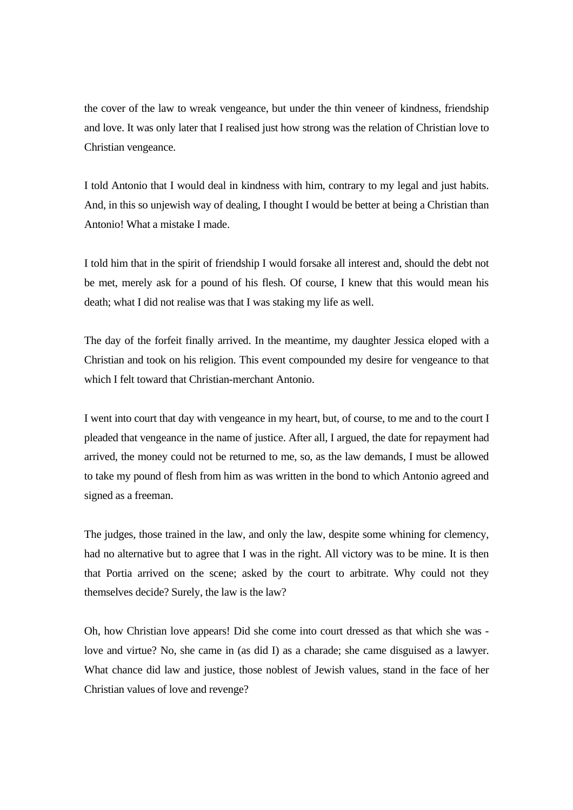the cover of the law to wreak vengeance, but under the thin veneer of kindness, friendship and love. It was only later that I realised just how strong was the relation of Christian love to Christian vengeance.

I told Antonio that I would deal in kindness with him, contrary to my legal and just habits. And, in this so unjewish way of dealing, I thought I would be better at being a Christian than Antonio! What a mistake I made.

I told him that in the spirit of friendship I would forsake all interest and, should the debt not be met, merely ask for a pound of his flesh. Of course, I knew that this would mean his death; what I did not realise was that I was staking my life as well.

The day of the forfeit finally arrived. In the meantime, my daughter Jessica eloped with a Christian and took on his religion. This event compounded my desire for vengeance to that which I felt toward that Christian-merchant Antonio.

I went into court that day with vengeance in my heart, but, of course, to me and to the court I pleaded that vengeance in the name of justice. After all, I argued, the date for repayment had arrived, the money could not be returned to me, so, as the law demands, I must be allowed to take my pound of flesh from him as was written in the bond to which Antonio agreed and signed as a freeman.

The judges, those trained in the law, and only the law, despite some whining for clemency, had no alternative but to agree that I was in the right. All victory was to be mine. It is then that Portia arrived on the scene; asked by the court to arbitrate. Why could not they themselves decide? Surely, the law is the law?

Oh, how Christian love appears! Did she come into court dressed as that which she was love and virtue? No, she came in (as did I) as a charade; she came disguised as a lawyer. What chance did law and justice, those noblest of Jewish values, stand in the face of her Christian values of love and revenge?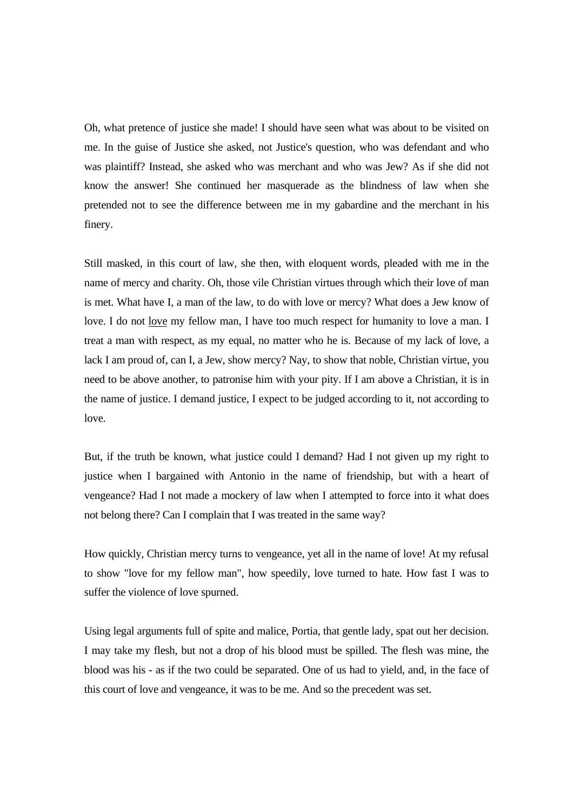Oh, what pretence of justice she made! I should have seen what was about to be visited on me. In the guise of Justice she asked, not Justice's question, who was defendant and who was plaintiff? Instead, she asked who was merchant and who was Jew? As if she did not know the answer! She continued her masquerade as the blindness of law when she pretended not to see the difference between me in my gabardine and the merchant in his finery.

Still masked, in this court of law, she then, with eloquent words, pleaded with me in the name of mercy and charity. Oh, those vile Christian virtues through which their love of man is met. What have I, a man of the law, to do with love or mercy? What does a Jew know of love. I do not love my fellow man, I have too much respect for humanity to love a man. I treat a man with respect, as my equal, no matter who he is. Because of my lack of love, a lack I am proud of, can I, a Jew, show mercy? Nay, to show that noble, Christian virtue, you need to be above another, to patronise him with your pity. If I am above a Christian, it is in the name of justice. I demand justice, I expect to be judged according to it, not according to love.

But, if the truth be known, what justice could I demand? Had I not given up my right to justice when I bargained with Antonio in the name of friendship, but with a heart of vengeance? Had I not made a mockery of law when I attempted to force into it what does not belong there? Can I complain that I was treated in the same way?

How quickly, Christian mercy turns to vengeance, yet all in the name of love! At my refusal to show "love for my fellow man", how speedily, love turned to hate. How fast I was to suffer the violence of love spurned.

Using legal arguments full of spite and malice, Portia, that gentle lady, spat out her decision. I may take my flesh, but not a drop of his blood must be spilled. The flesh was mine, the blood was his - as if the two could be separated. One of us had to yield, and, in the face of this court of love and vengeance, it was to be me. And so the precedent was set.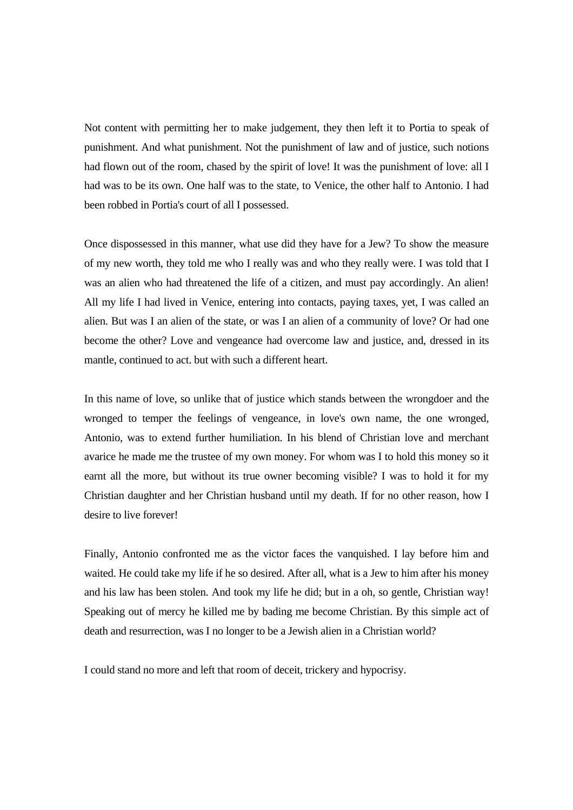Not content with permitting her to make judgement, they then left it to Portia to speak of punishment. And what punishment. Not the punishment of law and of justice, such notions had flown out of the room, chased by the spirit of love! It was the punishment of love: all I had was to be its own. One half was to the state, to Venice, the other half to Antonio. I had been robbed in Portia's court of all I possessed.

Once dispossessed in this manner, what use did they have for a Jew? To show the measure of my new worth, they told me who I really was and who they really were. I was told that I was an alien who had threatened the life of a citizen, and must pay accordingly. An alien! All my life I had lived in Venice, entering into contacts, paying taxes, yet, I was called an alien. But was I an alien of the state, or was I an alien of a community of love? Or had one become the other? Love and vengeance had overcome law and justice, and, dressed in its mantle, continued to act. but with such a different heart.

In this name of love, so unlike that of justice which stands between the wrongdoer and the wronged to temper the feelings of vengeance, in love's own name, the one wronged, Antonio, was to extend further humiliation. In his blend of Christian love and merchant avarice he made me the trustee of my own money. For whom was I to hold this money so it earnt all the more, but without its true owner becoming visible? I was to hold it for my Christian daughter and her Christian husband until my death. If for no other reason, how I desire to live forever!

Finally, Antonio confronted me as the victor faces the vanquished. I lay before him and waited. He could take my life if he so desired. After all, what is a Jew to him after his money and his law has been stolen. And took my life he did; but in a oh, so gentle, Christian way! Speaking out of mercy he killed me by bading me become Christian. By this simple act of death and resurrection, was I no longer to be a Jewish alien in a Christian world?

I could stand no more and left that room of deceit, trickery and hypocrisy.